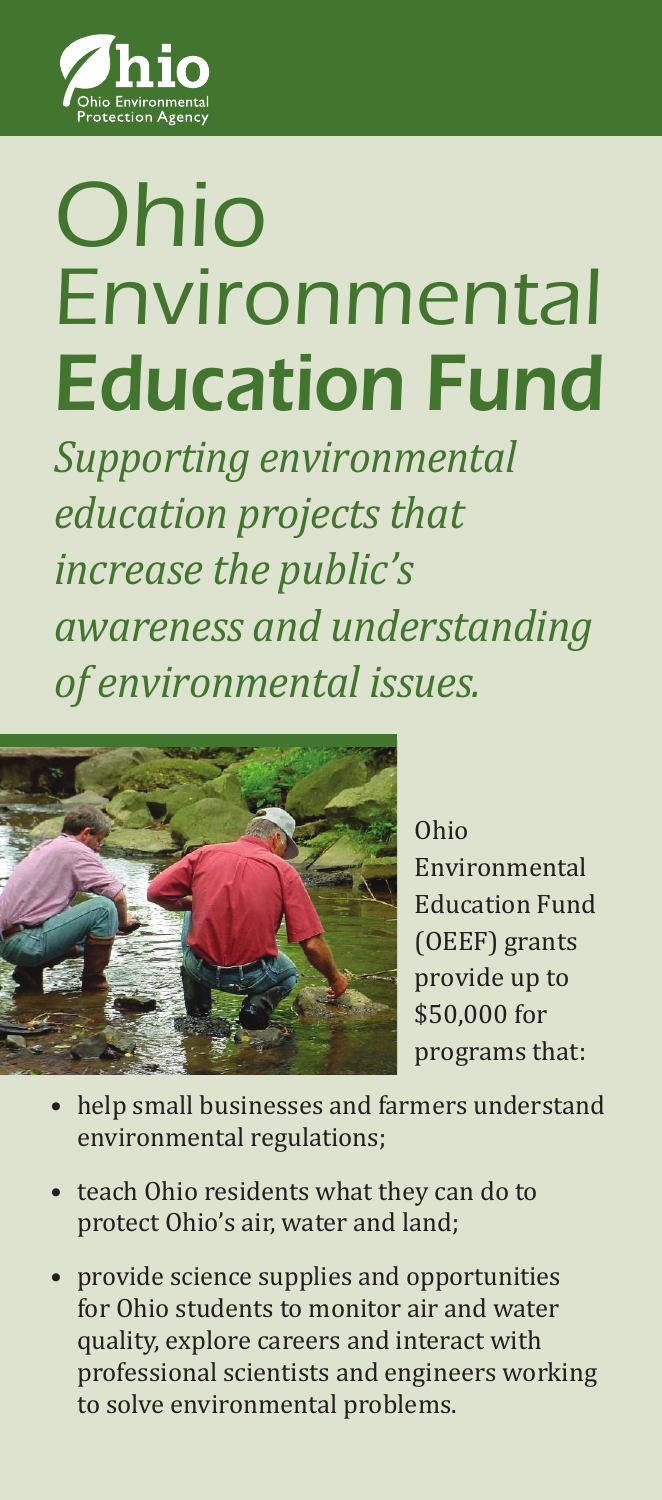

## Ohio Environmental Education Fund

*Supporting environmental education projects that increase the public's awareness and understanding of environmental issues.*



Ohio Environmental Education Fund (OEEF) grants provide up to \$50,000 for programs that:

- help small businesses and farmers understand environmental regulations;
- teach Ohio residents what they can do to protect Ohio's air, water and land;
- provide science supplies and opportunities for Ohio students to monitor air and water quality, explore careers and interact with professional scientists and engineers working to solve environmental problems.